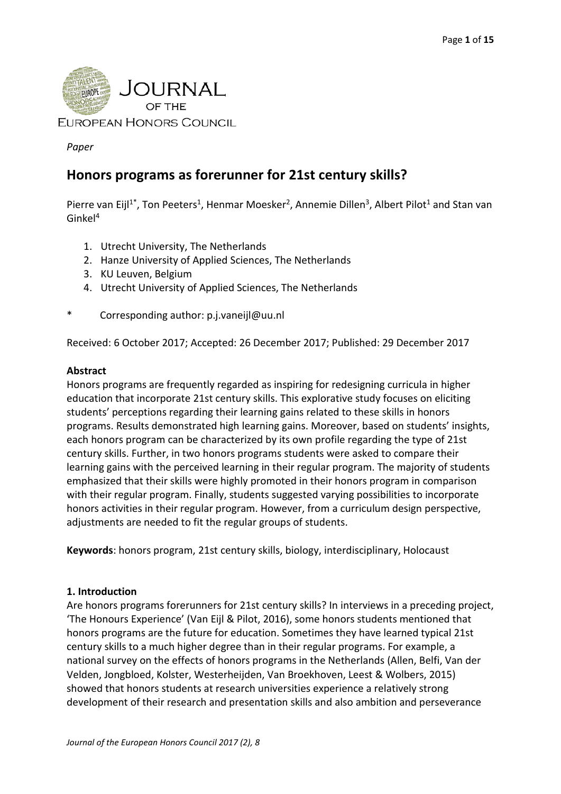

*Paper*

# **Honors programs as forerunner for 21st century skills?**

Pierre van Eijl<sup>1\*</sup>, Ton Peeters<sup>1</sup>, Henmar Moesker<sup>2</sup>, Annemie Dillen<sup>3</sup>, Albert Pilot<sup>1</sup> and Stan van Ginkel4

- 1. Utrecht University, The Netherlands
- 2. Hanze University of Applied Sciences, The Netherlands
- 3. KU Leuven, Belgium
- 4. Utrecht University of Applied Sciences, The Netherlands
- \* Corresponding author: p.j.vaneijl@uu.nl

Received: 6 October 2017; Accepted: 26 December 2017; Published: 29 December 2017

#### **Abstract**

Honors programs are frequently regarded as inspiring for redesigning curricula in higher education that incorporate 21st century skills. This explorative study focuses on eliciting students' perceptions regarding their learning gains related to these skills in honors programs. Results demonstrated high learning gains. Moreover, based on students' insights, each honors program can be characterized by its own profile regarding the type of 21st century skills. Further, in two honors programs students were asked to compare their learning gains with the perceived learning in their regular program. The majority of students emphasized that their skills were highly promoted in their honors program in comparison with their regular program. Finally, students suggested varying possibilities to incorporate honors activities in their regular program. However, from a curriculum design perspective, adjustments are needed to fit the regular groups of students.

**Keywords**: honors program, 21st century skills, biology, interdisciplinary, Holocaust

# **1. Introduction**

Are honors programs forerunners for 21st century skills? In interviews in a preceding project, 'The Honours Experience' (Van Eijl & Pilot, 2016), some honors students mentioned that honors programs are the future for education. Sometimes they have learned typical 21st century skills to a much higher degree than in their regular programs. For example, a national survey on the effects of honors programs in the Netherlands (Allen, Belfi, Van der Velden, Jongbloed, Kolster, Westerheijden, Van Broekhoven, Leest & Wolbers, 2015) showed that honors students at research universities experience a relatively strong development of their research and presentation skills and also ambition and perseverance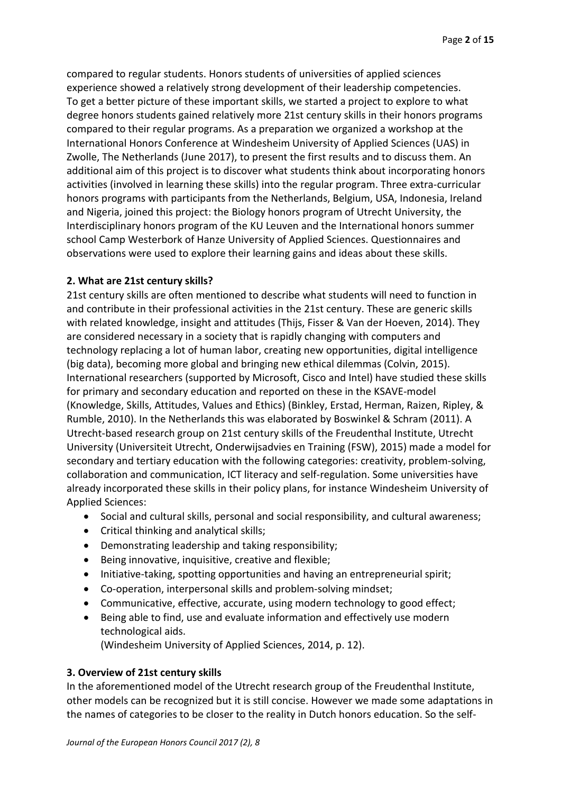compared to regular students. Honors students of universities of applied sciences experience showed a relatively strong development of their leadership competencies. To get a better picture of these important skills, we started a project to explore to what degree honors students gained relatively more 21st century skills in their honors programs compared to their regular programs. As a preparation we organized a workshop at the International Honors Conference at Windesheim University of Applied Sciences (UAS) in Zwolle, The Netherlands (June 2017), to present the first results and to discuss them. An additional aim of this project is to discover what students think about incorporating honors activities (involved in learning these skills) into the regular program. Three extra-curricular honors programs with participants from the Netherlands, Belgium, USA, Indonesia, Ireland and Nigeria, joined this project: the Biology honors program of Utrecht University, the Interdisciplinary honors program of the KU Leuven and the International honors summer school Camp Westerbork of Hanze University of Applied Sciences. Questionnaires and observations were used to explore their learning gains and ideas about these skills.

#### **2. What are 21st century skills?**

21st century skills are often mentioned to describe what students will need to function in and contribute in their professional activities in the 21st century. These are generic skills with related knowledge, insight and attitudes (Thijs, Fisser & Van der Hoeven, 2014). They are considered necessary in a society that is rapidly changing with computers and technology replacing a lot of human labor, creating new opportunities, digital intelligence (big data), becoming more global and bringing new ethical dilemmas (Colvin, 2015). International researchers (supported by Microsoft, Cisco and Intel) have studied these skills for primary and secondary education and reported on these in the KSAVE-model (Knowledge, Skills, Attitudes, Values and Ethics) (Binkley, Erstad, Herman, Raizen, Ripley, & Rumble, 2010). In the Netherlands this was elaborated by Boswinkel & Schram (2011). A Utrecht-based research group on 21st century skills of the Freudenthal Institute, Utrecht University (Universiteit Utrecht, Onderwijsadvies en Training (FSW), 2015) made a model for secondary and tertiary education with the following categories: creativity, problem-solving, collaboration and communication, ICT literacy and self-regulation. Some universities have already incorporated these skills in their policy plans, for instance Windesheim University of Applied Sciences:

- Social and cultural skills, personal and social responsibility, and cultural awareness;
- Critical thinking and analytical skills;
- Demonstrating leadership and taking responsibility;
- Being innovative, inquisitive, creative and flexible;
- Initiative-taking, spotting opportunities and having an entrepreneurial spirit;
- Co-operation, interpersonal skills and problem-solving mindset;
- Communicative, effective, accurate, using modern technology to good effect;
- Being able to find, use and evaluate information and effectively use modern technological aids.

(Windesheim University of Applied Sciences, 2014, p. 12).

# **3. Overview of 21st century skills**

In the aforementioned model of the Utrecht research group of the Freudenthal Institute, other models can be recognized but it is still concise. However we made some adaptations in the names of categories to be closer to the reality in Dutch honors education. So the self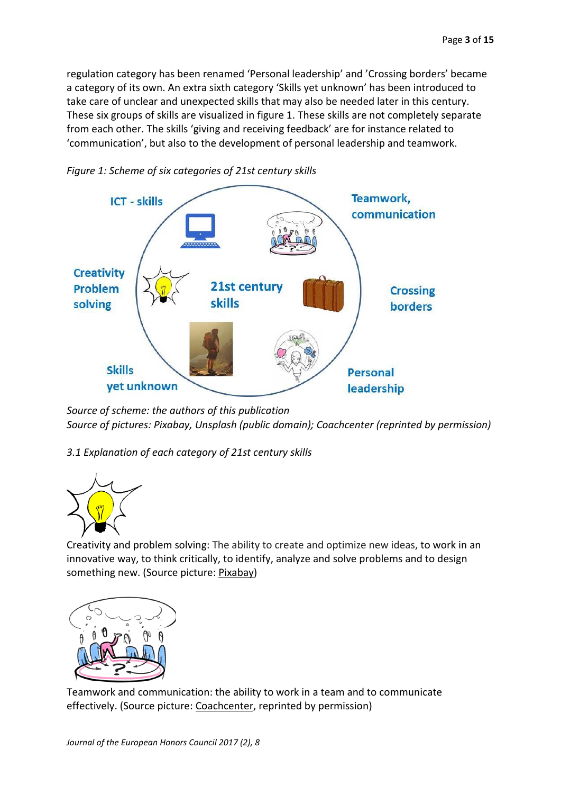regulation category has been renamed 'Personal leadership' and 'Crossing borders' became a category of its own. An extra sixth category 'Skills yet unknown' has been introduced to take care of unclear and unexpected skills that may also be needed later in this century. These six groups of skills are visualized in figure 1. These skills are not completely separate from each other. The skills 'giving and receiving feedback' are for instance related to 'communication', but also to the development of personal leadership and teamwork.



*Figure 1: Scheme of six categories of 21st century skills* 

*Source of scheme: the authors of this publication Source of pictures: Pixabay, Unsplash (public domain); Coachcenter (reprinted by permission)*

*3.1 Explanation of each category of 21st century skills*



Creativity and problem solving: The ability to create and optimize new ideas, to work in an innovative way, to think critically, to identify, analyze and solve problems and to design something new. (Source picture: [Pixabay\)](https://pixabay.com/p-304146/?no_redirect)



Teamwork and communication: the ability to work in a team and to communicate effectively. (Source picture: [Coachcenter,](http://www.coachcenter.nl/coach-workshop/) reprinted by permission)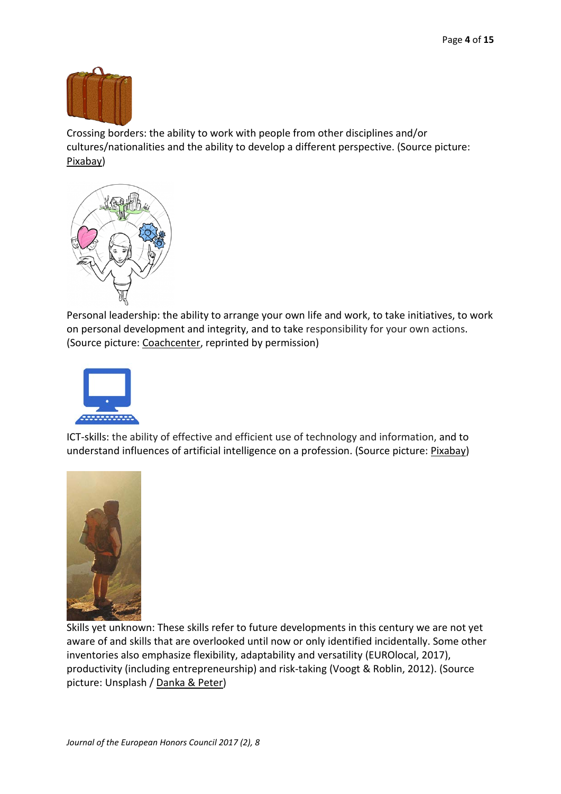

Crossing borders: the ability to work with people from other disciplines and/or cultures/nationalities and the ability to develop a different perspective. (Source picture: [Pixabay\)](https://pixabay.com/p-304146/?no_redirect)



Personal leadership: the ability to arrange your own life and work, to take initiatives, to work on personal development and integrity, and to take responsibility for your own actions. (Source picture: [Coachcenter,](http://www.coachcenter.nl/coach-opleiding/) reprinted by permission)



ICT-skills: the ability of effective and efficient use of technology and information, and to understand influences of artificial intelligence on a profession. (Source picture: [Pixabay\)](https://pixabay.com/p-304146/?no_redirect)



Skills yet unknown: These skills refer to future developments in this century we are not yet aware of and skills that are overlooked until now or only identified incidentally. Some other inventories also emphasize flexibility, adaptability and versatility (EUROlocal, 2017), productivity (including entrepreneurship) and risk-taking (Voogt & Roblin, 2012). (Source picture: Unsplash / [Danka & Peter\)](https://unsplash.com/@dankapeter)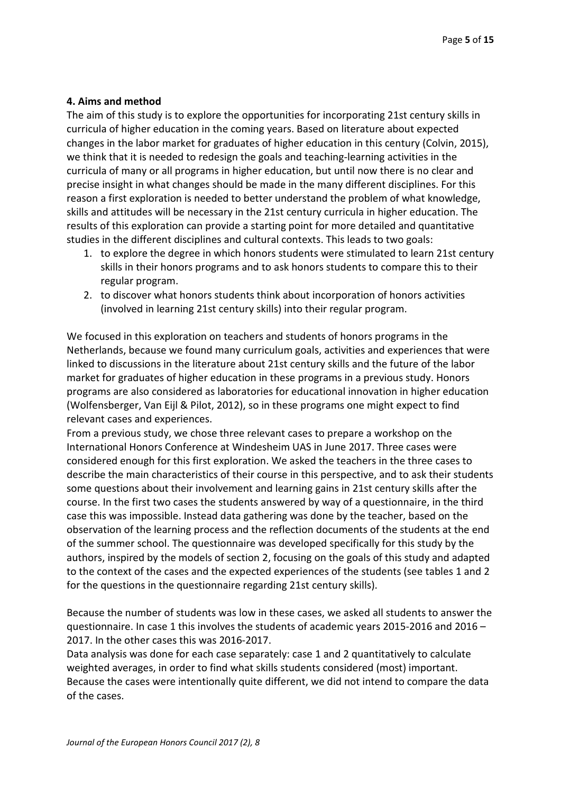#### **4. Aims and method**

The aim of this study is to explore the opportunities for incorporating 21st century skills in curricula of higher education in the coming years. Based on literature about expected changes in the labor market for graduates of higher education in this century (Colvin, 2015), we think that it is needed to redesign the goals and teaching-learning activities in the curricula of many or all programs in higher education, but until now there is no clear and precise insight in what changes should be made in the many different disciplines. For this reason a first exploration is needed to better understand the problem of what knowledge, skills and attitudes will be necessary in the 21st century curricula in higher education. The results of this exploration can provide a starting point for more detailed and quantitative studies in the different disciplines and cultural contexts. This leads to two goals:

- 1. to explore the degree in which honors students were stimulated to learn 21st century skills in their honors programs and to ask honors students to compare this to their regular program.
- 2. to discover what honors students think about incorporation of honors activities (involved in learning 21st century skills) into their regular program.

We focused in this exploration on teachers and students of honors programs in the Netherlands, because we found many curriculum goals, activities and experiences that were linked to discussions in the literature about 21st century skills and the future of the labor market for graduates of higher education in these programs in a previous study. Honors programs are also considered as laboratories for educational innovation in higher education (Wolfensberger, Van Eijl & Pilot, 2012), so in these programs one might expect to find relevant cases and experiences.

From a previous study, we chose three relevant cases to prepare a workshop on the International Honors Conference at Windesheim UAS in June 2017. Three cases were considered enough for this first exploration. We asked the teachers in the three cases to describe the main characteristics of their course in this perspective, and to ask their students some questions about their involvement and learning gains in 21st century skills after the course. In the first two cases the students answered by way of a questionnaire, in the third case this was impossible. Instead data gathering was done by the teacher, based on the observation of the learning process and the reflection documents of the students at the end of the summer school. The questionnaire was developed specifically for this study by the authors, inspired by the models of section 2, focusing on the goals of this study and adapted to the context of the cases and the expected experiences of the students (see tables 1 and 2 for the questions in the questionnaire regarding 21st century skills).

Because the number of students was low in these cases, we asked all students to answer the questionnaire. In case 1 this involves the students of academic years 2015-2016 and 2016 – 2017. In the other cases this was 2016-2017.

Data analysis was done for each case separately: case 1 and 2 quantitatively to calculate weighted averages, in order to find what skills students considered (most) important. Because the cases were intentionally quite different, we did not intend to compare the data of the cases.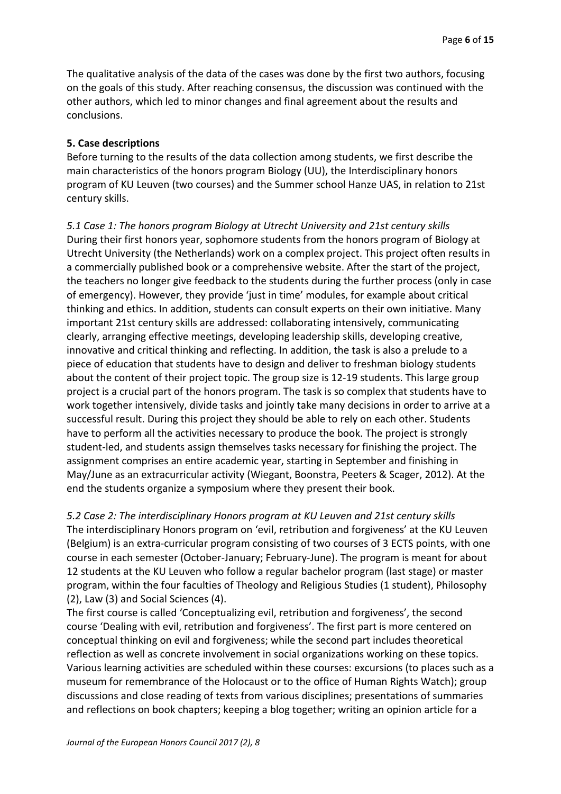The qualitative analysis of the data of the cases was done by the first two authors, focusing on the goals of this study. After reaching consensus, the discussion was continued with the other authors, which led to minor changes and final agreement about the results and conclusions.

#### **5. Case descriptions**

Before turning to the results of the data collection among students, we first describe the main characteristics of the honors program Biology (UU), the Interdisciplinary honors program of KU Leuven (two courses) and the Summer school Hanze UAS, in relation to 21st century skills.

*5.1 Case 1: The honors program Biology at Utrecht University and 21st century skills*  During their first honors year, sophomore students from the honors program of Biology at Utrecht University (the Netherlands) work on a complex project. This project often results in a commercially published book or a comprehensive website. After the start of the project, the teachers no longer give feedback to the students during the further process (only in case of emergency). However, they provide 'just in time' modules, for example about critical thinking and ethics. In addition, students can consult experts on their own initiative. Many important 21st century skills are addressed: collaborating intensively, communicating clearly, arranging effective meetings, developing leadership skills, developing creative, innovative and critical thinking and reflecting. In addition, the task is also a prelude to a piece of education that students have to design and deliver to freshman biology students about the content of their project topic. The group size is 12-19 students. This large group project is a crucial part of the honors program. The task is so complex that students have to work together intensively, divide tasks and jointly take many decisions in order to arrive at a successful result. During this project they should be able to rely on each other. Students have to perform all the activities necessary to produce the book. The project is strongly student-led, and students assign themselves tasks necessary for finishing the project. The assignment comprises an entire academic year, starting in September and finishing in May/June as an extracurricular activity (Wiegant, Boonstra, Peeters & Scager, 2012). At the end the students organize a symposium where they present their book.

*5.2 Case 2: The interdisciplinary Honors program at KU Leuven and 21st century skills*  The interdisciplinary Honors program on 'evil, retribution and forgiveness' at the KU Leuven (Belgium) is an extra-curricular program consisting of two courses of 3 ECTS points, with one course in each semester (October-January; February-June). The program is meant for about 12 students at the KU Leuven who follow a regular bachelor program (last stage) or master program, within the four faculties of Theology and Religious Studies (1 student), Philosophy (2), Law (3) and Social Sciences (4).

The first course is called 'Conceptualizing evil, retribution and forgiveness', the second course 'Dealing with evil, retribution and forgiveness'. The first part is more centered on conceptual thinking on evil and forgiveness; while the second part includes theoretical reflection as well as concrete involvement in social organizations working on these topics. Various learning activities are scheduled within these courses: excursions (to places such as a museum for remembrance of the Holocaust or to the office of Human Rights Watch); group discussions and close reading of texts from various disciplines; presentations of summaries and reflections on book chapters; keeping a blog together; writing an opinion article for a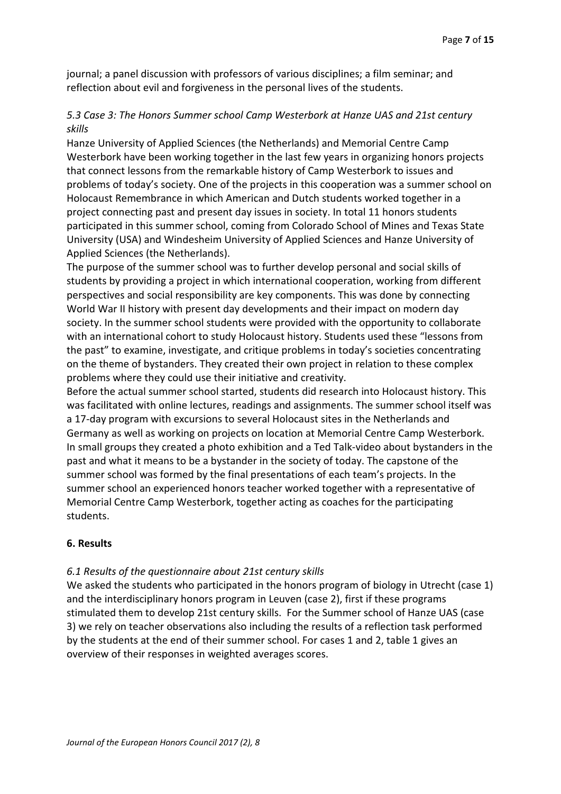journal; a panel discussion with professors of various disciplines; a film seminar; and reflection about evil and forgiveness in the personal lives of the students.

# *5.3 Case 3: The Honors Summer school Camp Westerbork at Hanze UAS and 21st century skills*

Hanze University of Applied Sciences (the Netherlands) and Memorial Centre Camp Westerbork have been working together in the last few years in organizing honors projects that connect lessons from the remarkable history of Camp Westerbork to issues and problems of today's society. One of the projects in this cooperation was a summer school on Holocaust Remembrance in which American and Dutch students worked together in a project connecting past and present day issues in society. In total 11 honors students participated in this summer school, coming from Colorado School of Mines and Texas State University (USA) and Windesheim University of Applied Sciences and Hanze University of Applied Sciences (the Netherlands).

The purpose of the summer school was to further develop personal and social skills of students by providing a project in which international cooperation, working from different perspectives and social responsibility are key components. This was done by connecting World War II history with present day developments and their impact on modern day society. In the summer school students were provided with the opportunity to collaborate with an international cohort to study Holocaust history. Students used these "lessons from the past" to examine, investigate, and critique problems in today's societies concentrating on the theme of bystanders. They created their own project in relation to these complex problems where they could use their initiative and creativity.

Before the actual summer school started, students did research into Holocaust history. This was facilitated with online lectures, readings and assignments. The summer school itself was a 17-day program with excursions to several Holocaust sites in the Netherlands and Germany as well as working on projects on location at Memorial Centre Camp Westerbork. In small groups they created a photo exhibition and a Ted Talk-video about bystanders in the past and what it means to be a bystander in the society of today. The capstone of the summer school was formed by the final presentations of each team's projects. In the summer school an experienced honors teacher worked together with a representative of Memorial Centre Camp Westerbork, together acting as coaches for the participating students.

#### **6. Results**

#### *6.1 Results of the questionnaire about 21st century skills*

We asked the students who participated in the honors program of biology in Utrecht (case 1) and the interdisciplinary honors program in Leuven (case 2), first if these programs stimulated them to develop 21st century skills. For the Summer school of Hanze UAS (case 3) we rely on teacher observations also including the results of a reflection task performed by the students at the end of their summer school. For cases 1 and 2, table 1 gives an overview of their responses in weighted averages scores.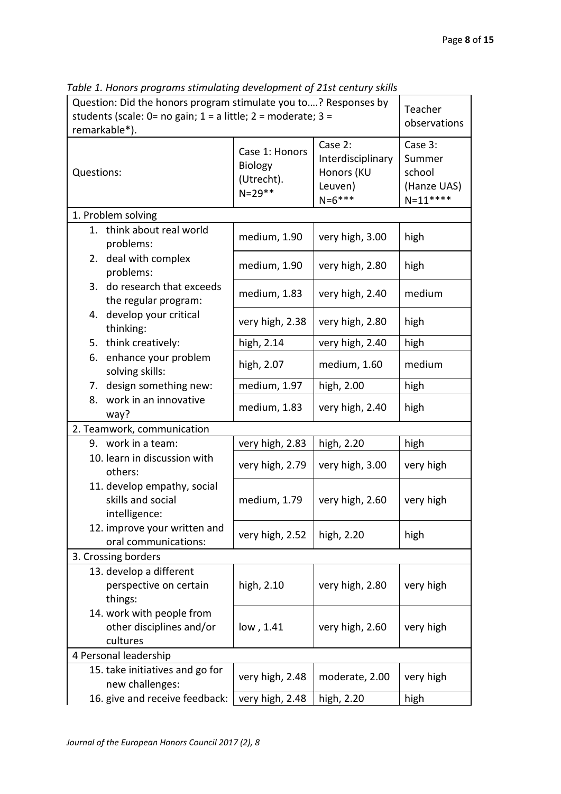| Question: Did the honors program stimulate you to? Responses by<br>students (scale: 0= no gain; $1 = a$ little; $2 =$ moderate; $3 =$<br>remarkable*). |                                                                |                                                        |                                                                      | Teacher<br>observations                                   |  |
|--------------------------------------------------------------------------------------------------------------------------------------------------------|----------------------------------------------------------------|--------------------------------------------------------|----------------------------------------------------------------------|-----------------------------------------------------------|--|
| Questions:                                                                                                                                             |                                                                | Case 1: Honors<br>Biology<br>(Utrecht).<br>$N = 29$ ** | Case 2:<br>Interdisciplinary<br>Honors (KU<br>Leuven)<br>$N = 6$ *** | Case 3:<br>Summer<br>school<br>(Hanze UAS)<br>$N = 11***$ |  |
| 1. Problem solving                                                                                                                                     |                                                                |                                                        |                                                                      |                                                           |  |
| problems:                                                                                                                                              | 1. think about real world<br>2. deal with complex<br>problems: |                                                        | very high, 3.00                                                      | high                                                      |  |
|                                                                                                                                                        |                                                                |                                                        | very high, 2.80                                                      | high                                                      |  |
|                                                                                                                                                        | 3. do research that exceeds<br>the regular program:            | medium, 1.83                                           | very high, 2.40                                                      | medium                                                    |  |
| thinking:                                                                                                                                              | 4. develop your critical                                       |                                                        | very high, 2.80                                                      | high                                                      |  |
| 5. think creatively:                                                                                                                                   |                                                                | high, 2.14                                             | very high, 2.40                                                      | high                                                      |  |
|                                                                                                                                                        | 6. enhance your problem<br>solving skills:                     | high, 2.07                                             | medium, 1.60                                                         | medium                                                    |  |
| 7. design something new:                                                                                                                               |                                                                | medium, 1.97                                           | high, 2.00                                                           | high                                                      |  |
| work in an innovative<br>8.<br>way?                                                                                                                    |                                                                | medium, 1.83                                           | very high, 2.40                                                      | high                                                      |  |
| 2. Teamwork, communication                                                                                                                             |                                                                |                                                        |                                                                      |                                                           |  |
| 9. work in a team:                                                                                                                                     |                                                                | very high, 2.83                                        | high, 2.20                                                           | high                                                      |  |
| 10. learn in discussion with<br>others:                                                                                                                |                                                                | very high, 2.79                                        | very high, 3.00                                                      | very high                                                 |  |
| intelligence:                                                                                                                                          | 11. develop empathy, social<br>skills and social               | medium, 1.79                                           | very high, 2.60                                                      | very high                                                 |  |
| 12. improve your written and<br>oral communications:                                                                                                   |                                                                | very high, 2.52                                        | high, 2.20                                                           | high                                                      |  |
| 3. Crossing borders                                                                                                                                    |                                                                |                                                        |                                                                      |                                                           |  |
| 13. develop a different<br>perspective on certain<br>things:                                                                                           |                                                                | high, 2.10                                             | very high, 2.80                                                      | very high                                                 |  |
| 14. work with people from<br>other disciplines and/or<br>cultures                                                                                      |                                                                | low, 1.41                                              | very high, 2.60                                                      | very high                                                 |  |
| 4 Personal leadership                                                                                                                                  |                                                                |                                                        |                                                                      |                                                           |  |
| 15. take initiatives and go for<br>new challenges:                                                                                                     |                                                                | very high, 2.48                                        | moderate, 2.00                                                       | very high                                                 |  |
| 16. give and receive feedback:                                                                                                                         |                                                                | very high, 2.48                                        | high, 2.20                                                           | high                                                      |  |

*Table 1. Honors programs stimulating development of 21st century skills*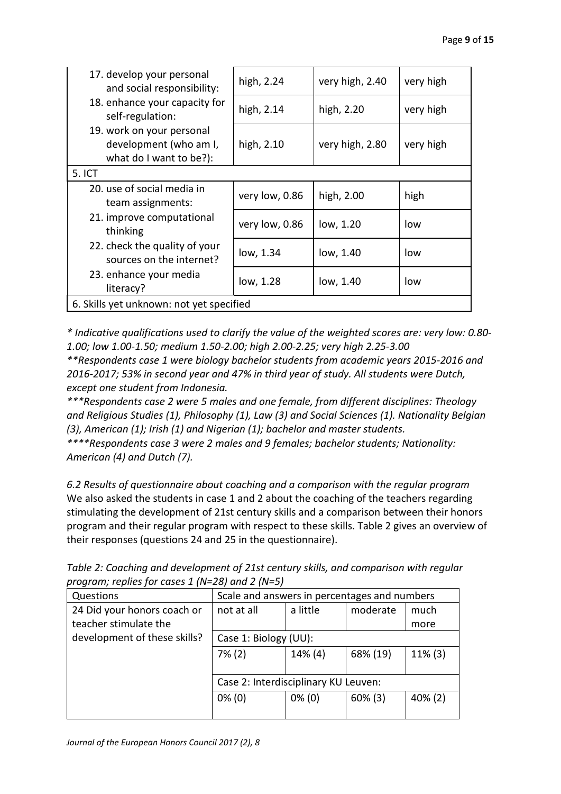| 17. develop your personal<br>and social responsibility:                        | high, 2.24     | very high, 2.40 | very high |  |  |
|--------------------------------------------------------------------------------|----------------|-----------------|-----------|--|--|
| 18. enhance your capacity for<br>self-regulation:                              | high, 2.14     | high, 2.20      | very high |  |  |
| 19. work on your personal<br>development (who am I,<br>what do I want to be?): | high, 2.10     | very high, 2.80 | very high |  |  |
| 5. ICT                                                                         |                |                 |           |  |  |
| 20. use of social media in<br>team assignments:                                | very low, 0.86 | high, 2.00      | high      |  |  |
| 21. improve computational<br>thinking                                          | very low, 0.86 | low, 1.20       | low       |  |  |
| 22. check the quality of your<br>sources on the internet?                      | low, 1.34      | low, 1.40       | low       |  |  |
| 23. enhance your media<br>literacy?                                            | low, 1.28      | low, 1.40       | low       |  |  |
| 6. Skills yet unknown: not yet specified                                       |                |                 |           |  |  |

*\* Indicative qualifications used to clarify the value of the weighted scores are: very low: 0.80- 1.00; low 1.00-1.50; medium 1.50-2.00; high 2.00-2.25; very high 2.25-3.00*

*\*\*Respondents case 1 were biology bachelor students from academic years 2015-2016 and 2016-2017; 53% in second year and 47% in third year of study. All students were Dutch, except one student from Indonesia.*

*\*\*\*Respondents case 2 were 5 males and one female, from different disciplines: Theology and Religious Studies (1), Philosophy (1), Law (3) and Social Sciences (1). Nationality Belgian (3), American (1); Irish (1) and Nigerian (1); bachelor and master students.*

*\*\*\*\*Respondents case 3 were 2 males and 9 females; bachelor students; Nationality: American (4) and Dutch (7).*

*6.2 Results of questionnaire about coaching and a comparison with the regular program* We also asked the students in case 1 and 2 about the coaching of the teachers regarding stimulating the development of 21st century skills and a comparison between their honors program and their regular program with respect to these skills. Table 2 gives an overview of their responses (questions 24 and 25 in the questionnaire).

| Questions                    | Scale and answers in percentages and numbers |           |            |         |  |
|------------------------------|----------------------------------------------|-----------|------------|---------|--|
| 24 Did your honors coach or  | not at all                                   | a little  | moderate   | much    |  |
| teacher stimulate the        |                                              |           |            | more    |  |
| development of these skills? | Case 1: Biology (UU):                        |           |            |         |  |
|                              | $7\%$ (2)                                    | 14% (4)   | 68% (19)   | 11% (3) |  |
|                              |                                              |           |            |         |  |
|                              | Case 2: Interdisciplinary KU Leuven:         |           |            |         |  |
|                              | $0\%$ (0)                                    | $0\%$ (0) | $60\%$ (3) | 40% (2) |  |
|                              |                                              |           |            |         |  |

*Table 2: Coaching and development of 21st century skills, and comparison with regular program; replies for cases 1 (N=28) and 2 (N=5)*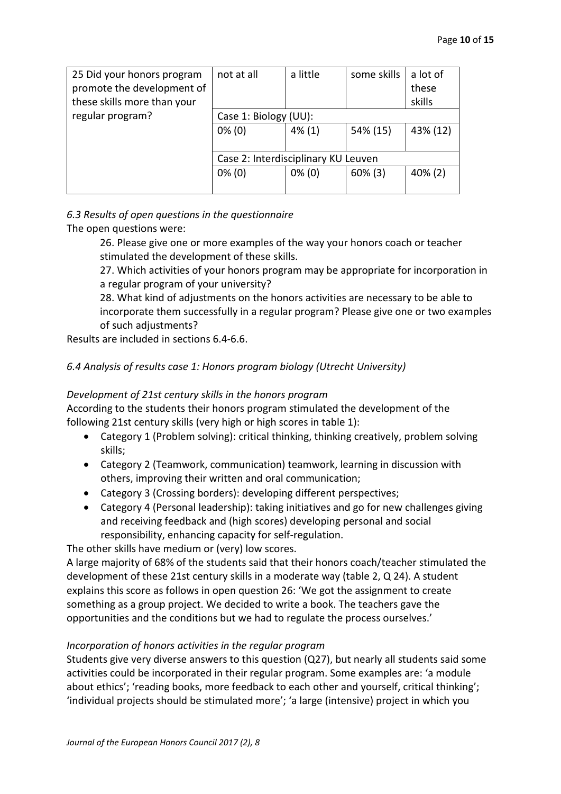| 25 Did your honors program  | not at all                          | a little  | some skills | a lot of   |
|-----------------------------|-------------------------------------|-----------|-------------|------------|
| promote the development of  |                                     |           |             | these      |
| these skills more than your |                                     |           |             | skills     |
| regular program?            | Case 1: Biology (UU):               |           |             |            |
|                             | $0\%$ (0)                           | $4\%$ (1) | 54% (15)    | 43% (12)   |
|                             |                                     |           |             |            |
|                             | Case 2: Interdisciplinary KU Leuven |           |             |            |
|                             | $0\%$ (0)                           | $0\%$ (0) | $60\%$ (3)  | $40\%$ (2) |
|                             |                                     |           |             |            |

# *6.3 Results of open questions in the questionnaire*

The open questions were:

26. Please give one or more examples of the way your honors coach or teacher stimulated the development of these skills.

27. Which activities of your honors program may be appropriate for incorporation in a regular program of your university?

28. What kind of adjustments on the honors activities are necessary to be able to incorporate them successfully in a regular program? Please give one or two examples of such adjustments?

Results are included in sections 6.4-6.6.

# *6.4 Analysis of results case 1: Honors program biology (Utrecht University)*

#### *Development of 21st century skills in the honors program*

According to the students their honors program stimulated the development of the following 21st century skills (very high or high scores in table 1):

- Category 1 (Problem solving): critical thinking, thinking creatively, problem solving skills;
- Category 2 (Teamwork, communication) teamwork, learning in discussion with others, improving their written and oral communication;
- Category 3 (Crossing borders): developing different perspectives;
- Category 4 (Personal leadership): taking initiatives and go for new challenges giving and receiving feedback and (high scores) developing personal and social responsibility, enhancing capacity for self-regulation.

The other skills have medium or (very) low scores.

A large majority of 68% of the students said that their honors coach/teacher stimulated the development of these 21st century skills in a moderate way (table 2, Q 24). A student explains this score as follows in open question 26: 'We got the assignment to create something as a group project. We decided to write a book. The teachers gave the opportunities and the conditions but we had to regulate the process ourselves.'

# *Incorporation of honors activities in the regular program*

Students give very diverse answers to this question (Q27), but nearly all students said some activities could be incorporated in their regular program. Some examples are: 'a module about ethics'; 'reading books, more feedback to each other and yourself, critical thinking'; 'individual projects should be stimulated more'; 'a large (intensive) project in which you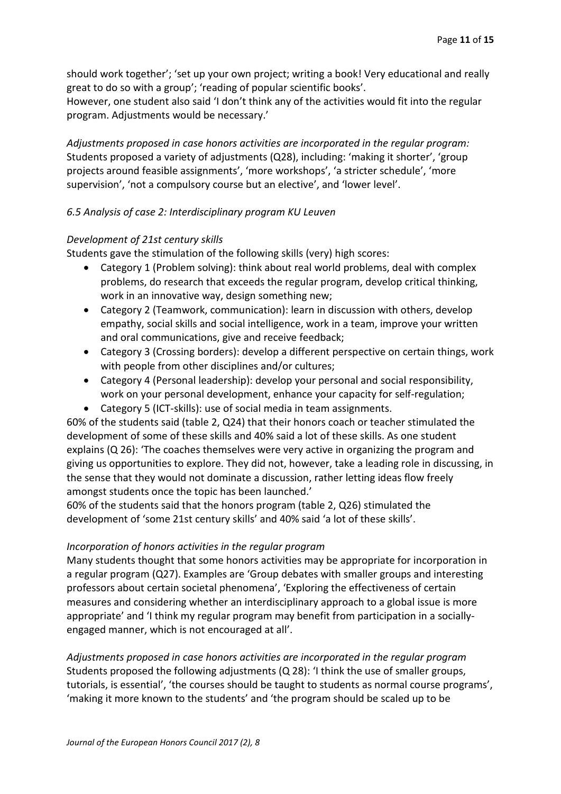should work together'; 'set up your own project; writing a book! Very educational and really great to do so with a group'; 'reading of popular scientific books'.

However, one student also said 'I don't think any of the activities would fit into the regular program. Adjustments would be necessary.'

*Adjustments proposed in case honors activities are incorporated in the regular program:* Students proposed a variety of adjustments (Q28), including: 'making it shorter', 'group projects around feasible assignments', 'more workshops', 'a stricter schedule', 'more supervision', 'not a compulsory course but an elective', and 'lower level'.

#### *6.5 Analysis of case 2: Interdisciplinary program KU Leuven*

#### *Development of 21st century skills*

Students gave the stimulation of the following skills (very) high scores:

- Category 1 (Problem solving): think about real world problems, deal with complex problems, do research that exceeds the regular program, develop critical thinking, work in an innovative way, design something new;
- Category 2 (Teamwork, communication): learn in discussion with others, develop empathy, social skills and social intelligence, work in a team, improve your written and oral communications, give and receive feedback;
- Category 3 (Crossing borders): develop a different perspective on certain things, work with people from other disciplines and/or cultures;
- Category 4 (Personal leadership): develop your personal and social responsibility, work on your personal development, enhance your capacity for self-regulation;
- Category 5 (ICT-skills): use of social media in team assignments.

60% of the students said (table 2, Q24) that their honors coach or teacher stimulated the development of some of these skills and 40% said a lot of these skills. As one student explains (Q 26): 'The coaches themselves were very active in organizing the program and giving us opportunities to explore. They did not, however, take a leading role in discussing, in the sense that they would not dominate a discussion, rather letting ideas flow freely amongst students once the topic has been launched.'

60% of the students said that the honors program (table 2, Q26) stimulated the development of 'some 21st century skills' and 40% said 'a lot of these skills'.

#### *Incorporation of honors activities in the regular program*

Many students thought that some honors activities may be appropriate for incorporation in a regular program (Q27). Examples are 'Group debates with smaller groups and interesting professors about certain societal phenomena', 'Exploring the effectiveness of certain measures and considering whether an interdisciplinary approach to a global issue is more appropriate' and 'I think my regular program may benefit from participation in a sociallyengaged manner, which is not encouraged at all'.

*Adjustments proposed in case honors activities are incorporated in the regular program* Students proposed the following adjustments (Q 28): 'I think the use of smaller groups, tutorials, is essential', 'the courses should be taught to students as normal course programs', 'making it more known to the students' and 'the program should be scaled up to be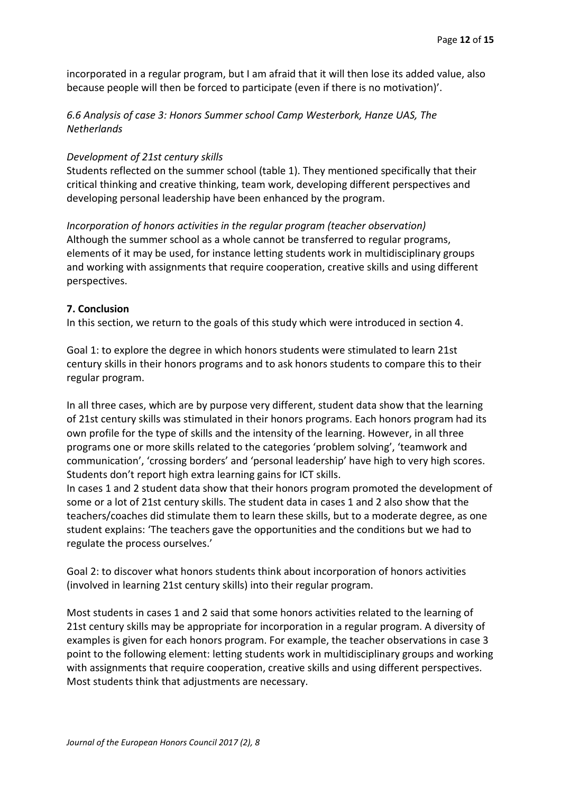incorporated in a regular program, but I am afraid that it will then lose its added value, also because people will then be forced to participate (even if there is no motivation)'.

# *6.6 Analysis of case 3: Honors Summer school Camp Westerbork, Hanze UAS, The Netherlands*

#### *Development of 21st century skills*

Students reflected on the summer school (table 1). They mentioned specifically that their critical thinking and creative thinking, team work, developing different perspectives and developing personal leadership have been enhanced by the program.

*Incorporation of honors activities in the regular program (teacher observation)* Although the summer school as a whole cannot be transferred to regular programs, elements of it may be used, for instance letting students work in multidisciplinary groups and working with assignments that require cooperation, creative skills and using different perspectives.

#### **7. Conclusion**

In this section, we return to the goals of this study which were introduced in section 4.

Goal 1: to explore the degree in which honors students were stimulated to learn 21st century skills in their honors programs and to ask honors students to compare this to their regular program.

In all three cases, which are by purpose very different, student data show that the learning of 21st century skills was stimulated in their honors programs. Each honors program had its own profile for the type of skills and the intensity of the learning. However, in all three programs one or more skills related to the categories 'problem solving', 'teamwork and communication', 'crossing borders' and 'personal leadership' have high to very high scores. Students don't report high extra learning gains for ICT skills.

In cases 1 and 2 student data show that their honors program promoted the development of some or a lot of 21st century skills. The student data in cases 1 and 2 also show that the teachers/coaches did stimulate them to learn these skills, but to a moderate degree, as one student explains: 'The teachers gave the opportunities and the conditions but we had to regulate the process ourselves.'

Goal 2: to discover what honors students think about incorporation of honors activities (involved in learning 21st century skills) into their regular program.

Most students in cases 1 and 2 said that some honors activities related to the learning of 21st century skills may be appropriate for incorporation in a regular program. A diversity of examples is given for each honors program. For example, the teacher observations in case 3 point to the following element: letting students work in multidisciplinary groups and working with assignments that require cooperation, creative skills and using different perspectives. Most students think that adjustments are necessary.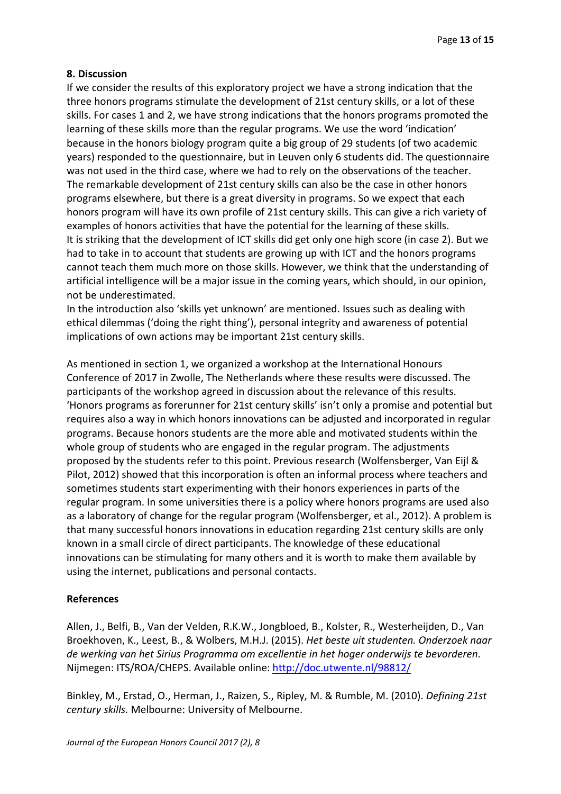#### **8. Discussion**

If we consider the results of this exploratory project we have a strong indication that the three honors programs stimulate the development of 21st century skills, or a lot of these skills. For cases 1 and 2, we have strong indications that the honors programs promoted the learning of these skills more than the regular programs. We use the word 'indication' because in the honors biology program quite a big group of 29 students (of two academic years) responded to the questionnaire, but in Leuven only 6 students did. The questionnaire was not used in the third case, where we had to rely on the observations of the teacher. The remarkable development of 21st century skills can also be the case in other honors programs elsewhere, but there is a great diversity in programs. So we expect that each honors program will have its own profile of 21st century skills. This can give a rich variety of examples of honors activities that have the potential for the learning of these skills. It is striking that the development of ICT skills did get only one high score (in case 2). But we had to take in to account that students are growing up with ICT and the honors programs cannot teach them much more on those skills. However, we think that the understanding of artificial intelligence will be a major issue in the coming years, which should, in our opinion, not be underestimated.

In the introduction also 'skills yet unknown' are mentioned. Issues such as dealing with ethical dilemmas ('doing the right thing'), personal integrity and awareness of potential implications of own actions may be important 21st century skills.

As mentioned in section 1, we organized a workshop at the International Honours Conference of 2017 in Zwolle, The Netherlands where these results were discussed. The participants of the workshop agreed in discussion about the relevance of this results. 'Honors programs as forerunner for 21st century skills' isn't only a promise and potential but requires also a way in which honors innovations can be adjusted and incorporated in regular programs. Because honors students are the more able and motivated students within the whole group of students who are engaged in the regular program. The adjustments proposed by the students refer to this point. Previous research (Wolfensberger, Van Eijl & Pilot, 2012) showed that this incorporation is often an informal process where teachers and sometimes students start experimenting with their honors experiences in parts of the regular program. In some universities there is a policy where honors programs are used also as a laboratory of change for the regular program (Wolfensberger, et al., 2012). A problem is that many successful honors innovations in education regarding 21st century skills are only known in a small circle of direct participants. The knowledge of these educational innovations can be stimulating for many others and it is worth to make them available by using the internet, publications and personal contacts.

# **References**

Allen, J., Belfi, B., Van der Velden, R.K.W., Jongbloed, B., Kolster, R., Westerheijden, D., Van Broekhoven, K., Leest, B., & Wolbers, M.H.J. (2015). *Het beste uit studenten. Onderzoek naar de werking van het Sirius Programma om excellentie in het hoger onderwijs te bevorderen*. Nijmegen: ITS/ROA/CHEPS. Available online: <http://doc.utwente.nl/98812/>

Binkley, M., Erstad, O., Herman, J., Raizen, S., Ripley, M. & Rumble, M. (2010). *Defining 21st century skills.* Melbourne: University of Melbourne.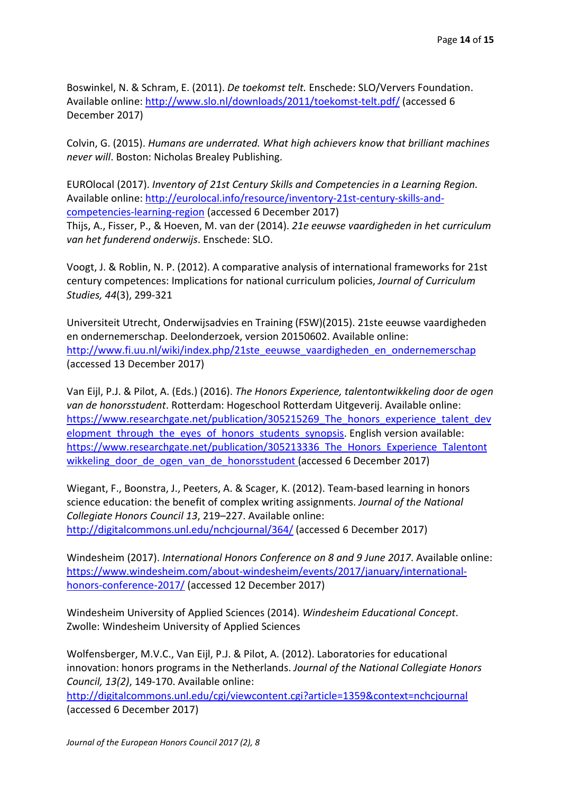Boswinkel, N. & Schram, E. (2011). *De toekomst telt.* Enschede: SLO/Ververs Foundation. Available online:<http://www.slo.nl/downloads/2011/toekomst-telt.pdf/> (accessed 6 December 2017)

Colvin, G. (2015). *Humans are underrated. What high achievers know that brilliant machines never will*. Boston: Nicholas Brealey Publishing.

EUROlocal (2017). *Inventory of 21st Century Skills and Competencies in a Learning Region.*  Available online: [http://eurolocal.info/resource/inventory-21st-century-skills-and](http://eurolocal.info/resource/inventory-21st-century-skills-and-competencies-learning-region)[competencies-learning-region](http://eurolocal.info/resource/inventory-21st-century-skills-and-competencies-learning-region) (accessed 6 December 2017)

Thijs, A., Fisser, P., & Hoeven, M. van der (2014). *21e eeuwse vaardigheden in het curriculum van het funderend onderwijs*. Enschede: SLO.

Voogt, J. & Roblin, N. P. (2012). A comparative analysis of international frameworks for 21st century competences: Implications for national curriculum policies, *Journal of Curriculum Studies, 44*(3), 299-321

Universiteit Utrecht, Onderwijsadvies en Training (FSW)(2015). 21ste eeuwse vaardigheden en ondernemerschap. Deelonderzoek, version 20150602. Available online: http://www.fi.uu.nl/wiki/index.php/21ste\_eeuwse\_vaardigheden\_en\_ondernemerschap (accessed 13 December 2017)

Van Eijl, P.J. & Pilot, A. (Eds.) (2016). *The Honors Experience, talentontwikkeling door de ogen van de honorsstudent*. Rotterdam: Hogeschool Rotterdam Uitgeverij. Available online: [https://www.researchgate.net/publication/305215269\\_The\\_honors\\_experience\\_talent\\_dev](https://www.researchgate.net/publication/305215269_The_honours_experience_talent_development_through_the_eyes_of_honours_students_synopsis) elopment through the eyes of honors students synopsis. English version available: [https://www.researchgate.net/publication/305213336\\_The\\_Honors\\_Experience\\_Talentont](https://www.researchgate.net/publication/305213336_The_Honours_Experience_Talentontwikkeling_door_de_ogen_van_de_honoursstudent) wikkeling door de ogen van de honorsstudent (accessed 6 December 2017)

Wiegant, F., Boonstra, J., Peeters, A. & Scager, K. (2012). Team-based learning in honors science education: the benefit of complex writing assignments. *Journal of the National Collegiate Honors Council 13*, 219–227. Available online: <http://digitalcommons.unl.edu/nchcjournal/364/> (accessed 6 December 2017)

Windesheim (2017). *International Honors Conference on 8 and 9 June 2017*. Available online: [https://www.windesheim.com/about-windesheim/events/2017/january/international](https://www.windesheim.com/about-windesheim/events/2017/january/international-honours-conference-2017/)[honors-conference-2017/](https://www.windesheim.com/about-windesheim/events/2017/january/international-honours-conference-2017/) (accessed 12 December 2017)

Windesheim University of Applied Sciences (2014). *Windesheim Educational Concept*. Zwolle: Windesheim University of Applied Sciences

Wolfensberger, M.V.C., Van Eijl, P.J. & Pilot, A. (2012). Laboratories for educational innovation: honors programs in the Netherlands. *Journal of the National Collegiate Honors Council, 13(2)*, 149-170. Available online:

<http://digitalcommons.unl.edu/cgi/viewcontent.cgi?article=1359&context=nchcjournal> (accessed 6 December 2017)